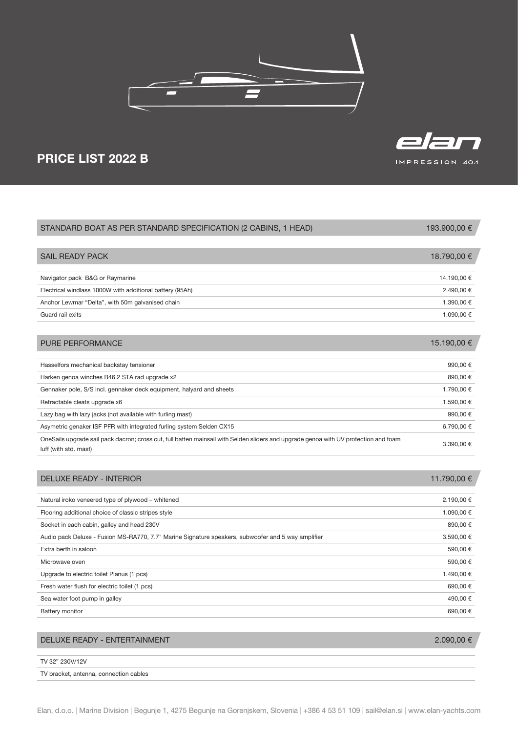



## PRICE LIST 2022 B

| STANDARD BOAT AS PER STANDARD SPECIFICATION (2 CABINS, 1 HEAD)                                                                                                | 193.900,00 € |
|---------------------------------------------------------------------------------------------------------------------------------------------------------------|--------------|
|                                                                                                                                                               |              |
| <b>SAIL READY PACK</b>                                                                                                                                        | 18.790,00 €  |
|                                                                                                                                                               |              |
| Navigator pack B&G or Raymarine                                                                                                                               | 14.190,00 €  |
| Electrical windlass 1000W with additional battery (95Ah)                                                                                                      | 2.490,00 €   |
| Anchor Lewmar "Delta", with 50m galvanised chain                                                                                                              | 1.390.00 €   |
| Guard rail exits                                                                                                                                              | 1.090,00 €   |
|                                                                                                                                                               |              |
| <b>PURE PERFORMANCE</b>                                                                                                                                       | 15.190,00 €  |
|                                                                                                                                                               |              |
| Hasselfors mechanical backstay tensioner                                                                                                                      | 990,00€      |
| Harken genoa winches B46.2 STA rad upgrade x2                                                                                                                 | 890,00€      |
| Gennaker pole, S/S incl. gennaker deck equipment, halyard and sheets                                                                                          | 1.790,00 €   |
| Retractable cleats upgrade x6                                                                                                                                 | 1.590,00 €   |
| Lazy bag with lazy jacks (not available with furling mast)                                                                                                    | 990,00€      |
| Asymetric genaker ISF PFR with integrated furling system Selden CX15                                                                                          | 6.790,00 €   |
| OneSails upgrade sail pack dacron; cross cut, full batten mainsail with Selden sliders and upgrade genoa with UV protection and foam<br>luff (with std. mast) | 3.390,00 €   |
|                                                                                                                                                               |              |

| Natural iroko veneered type of plywood – whitened                                                  | 11.790,00 € |
|----------------------------------------------------------------------------------------------------|-------------|
|                                                                                                    |             |
|                                                                                                    | 2.190,00 €  |
| Flooring additional choice of classic stripes style                                                | 1.090,00 €  |
| Socket in each cabin, galley and head 230V                                                         | 890,00 €    |
| Audio pack Deluxe - Fusion MS-RA770, 7.7" Marine Signature speakers, subwoofer and 5 way amplifier | 3.590,00 €  |
| Extra berth in saloon                                                                              | 590,00 €    |
| Microwave oven                                                                                     | 590,00 €    |
| Upgrade to electric toilet Planus (1 pcs)                                                          | 1.490,00 €  |
| Fresh water flush for electric toilet (1 pcs)                                                      | 690,00 €    |
| Sea water foot pump in galley                                                                      | 490,00 €    |
| <b>Battery monitor</b>                                                                             | 690,00 €    |

## DELUXE READY - ENTERTAINMENT 2.090,00 €

TV 32" 230V/12V

TV bracket, antenna, connection cables